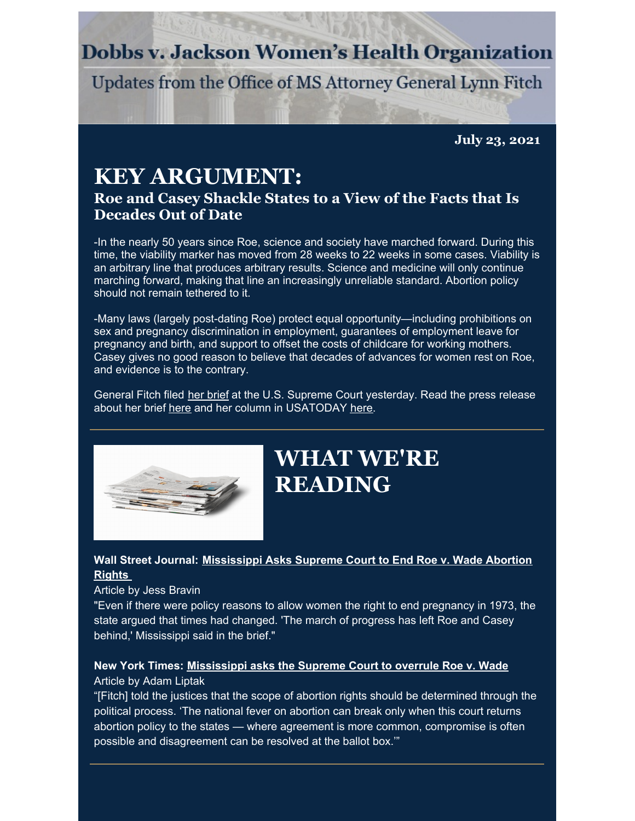### **Dobbs v. Jackson Women's Health Organization**

Updates from the Office of MS Attorney General Lynn Fitch

**July 23, 2021**

### **KEY ARGUMENT: Roe and Casey Shackle States to a View of the Facts that Is Decades Out of Date**

-In the nearly 50 years since Roe, science and society have marched forward. During this time, the viability marker has moved from 28 weeks to 22 weeks in some cases. Viability is an arbitrary line that produces arbitrary results. Science and medicine will only continue marching forward, making that line an increasingly unreliable standard. Abortion policy should not remain tethered to it.

-Many laws (largely post-dating Roe) protect equal opportunity—including prohibitions on sex and pregnancy discrimination in employment, guarantees of employment leave for pregnancy and birth, and support to offset the costs of childcare for working mothers. Casey gives no good reason to believe that decades of advances for women rest on Roe, and evidence is to the contrary.

General Fitch filed her [brief](https://www.ago.state.ms.us/wp-content/uploads/2021/07/19-1392BriefForPetitioners.pdf) at the U.S. Supreme Court yesterday. Read the press release about her brief [here](https://www.usatoday.com/story/opinion/voices/2021/07/23/mississippi-abortion-ban-15-weeks-supreme-court-roe-wade/8053606002/) and her column in USATODAY here.



## **WHAT WE'RE READING**

#### **Wall Street Journal: [Mississippi](https://www.wsj.com/articles/mississippi-asks-supreme-court-to-end-roe-v-wade-abortion-rights-11626985810?mod=searchresults_pos2&page=1) Asks Supreme Court to End Roe v. Wade Abortion Rights**

#### Article by Jess Bravin

"Even if there were policy reasons to allow women the right to end pregnancy in 1973, the state argued that times had changed. 'The march of progress has left Roe and Casey behind,' Mississippi said in the brief."

#### **New York Times: [Mississippi](https://www.nytimes.com/2021/07/22/us/politics/mississippi-supreme-court-abortion.html) asks the Supreme Court to overrule Roe v. Wade** Article by Adam Liptak

"[Fitch] told the justices that the scope of abortion rights should be determined through the political process. 'The national fever on abortion can break only when this court returns abortion policy to the states — where agreement is more common, compromise is often possible and disagreement can be resolved at the ballot box.'"